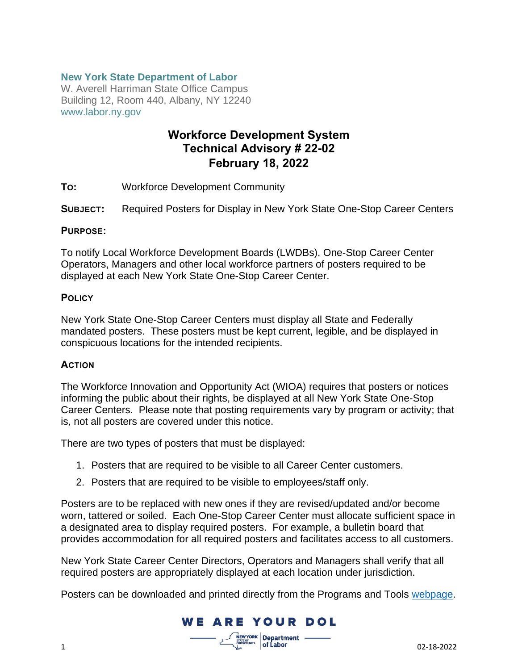#### **New York State Department of Labor**

W. Averell Harriman State Office Campus Building 12, Room 440, Albany, NY 12240 www.labor.ny.gov

### **Workforce Development System Technical Advisory # 22-02 February 18, 2022**

**TO:** Workforce Development Community

**SUBJECT:** Required Posters for Display in New York State One-Stop Career Centers

#### **PURPOSE:**

To notify Local Workforce Development Boards (LWDBs), One-Stop Career Center Operators, Managers and other local workforce partners of posters required to be displayed at each New York State One-Stop Career Center.

#### **POLICY**

New York State One-Stop Career Centers must display all State and Federally mandated posters. These posters must be kept current, legible, and be displayed in conspicuous locations for the intended recipients.

#### **ACTION**

The Workforce Innovation and Opportunity Act (WIOA) requires that posters or notices informing the public about their rights, be displayed at all New York State One-Stop Career Centers. Please note that posting requirements vary by program or activity; that is, not all posters are covered under this notice.

There are two types of posters that must be displayed:

- 1. Posters that are required to be visible to all Career Center customers.
- 2. Posters that are required to be visible to employees/staff only.

Posters are to be replaced with new ones if they are revised/updated and/or become worn, tattered or soiled. Each One-Stop Career Center must allocate sufficient space in a designated area to display required posters. For example, a bulletin board that provides accommodation for all required posters and facilitates access to all customers.

New York State Career Center Directors, Operators and Managers shall verify that all required posters are appropriately displayed at each location under jurisdiction.

Posters can be downloaded and printed directly from the Programs and Tools [webpage.](https://dol.ny.gov/workforce-professionals-tools)

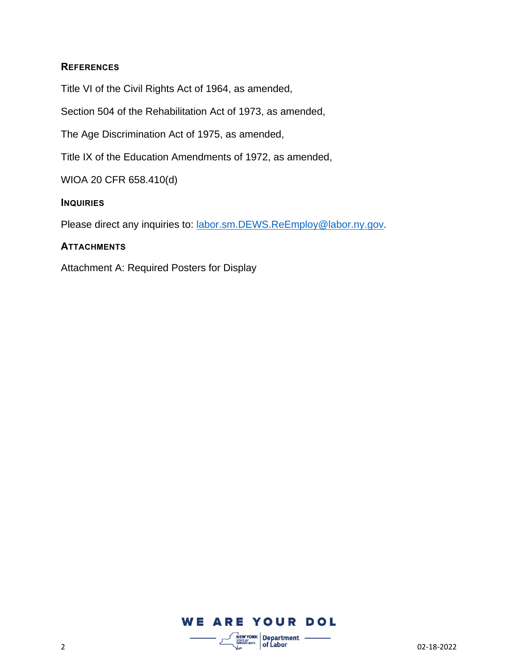#### **REFERENCES**

Title VI of the Civil Rights Act of 1964, as amended,

Section 504 of the Rehabilitation Act of 1973, as amended,

The Age Discrimination Act of 1975, as amended,

Title IX of the Education Amendments of 1972, as amended,

WIOA 20 CFR 658.410(d)

#### **INQUIRIES**

Please direct any inquiries to: [labor.sm.DEWS.ReEmploy@labor.ny.gov](mailto:labor.sm.DEWS.ReEmploy@labor.ny.gov).

#### **ATTACHMENTS**

Attachment A: Required Posters for Display

## **WE ARE YOUR DOL**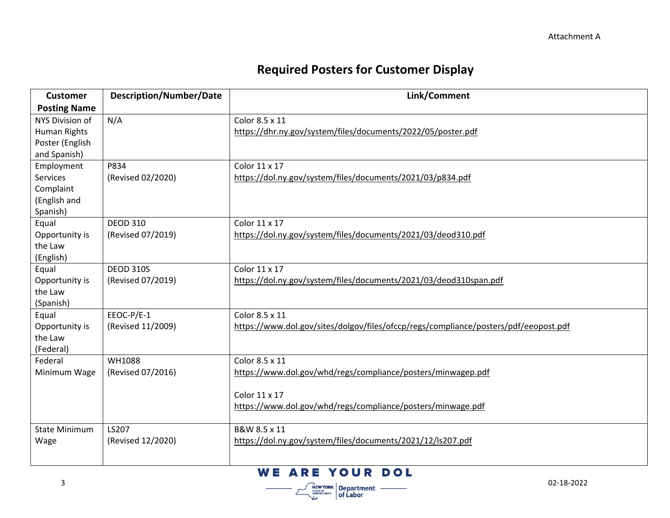# **Required Posters for Customer Display**

| <b>Customer</b>      | <b>Description/Number/Date</b> | Link/Comment                                                                         |
|----------------------|--------------------------------|--------------------------------------------------------------------------------------|
| <b>Posting Name</b>  |                                |                                                                                      |
| NYS Division of      | N/A                            | Color 8.5 x 11                                                                       |
| Human Rights         |                                | https://dhr.ny.gov/system/files/documents/2022/05/poster.pdf                         |
| Poster (English      |                                |                                                                                      |
| and Spanish)         |                                |                                                                                      |
| Employment           | P834                           | Color 11 x 17                                                                        |
| Services             | (Revised 02/2020)              | https://dol.ny.gov/system/files/documents/2021/03/p834.pdf                           |
| Complaint            |                                |                                                                                      |
| (English and         |                                |                                                                                      |
| Spanish)             |                                |                                                                                      |
| Equal                | <b>DEOD 310</b>                | Color 11 x 17                                                                        |
| Opportunity is       | (Revised 07/2019)              | https://dol.ny.gov/system/files/documents/2021/03/deod310.pdf                        |
| the Law              |                                |                                                                                      |
| (English)            |                                |                                                                                      |
| Equal                | <b>DEOD 310S</b>               | Color 11 x 17                                                                        |
| Opportunity is       | (Revised 07/2019)              | https://dol.ny.gov/system/files/documents/2021/03/deod310span.pdf                    |
| the Law              |                                |                                                                                      |
| (Spanish)            |                                |                                                                                      |
| Equal                | EEOC-P/E-1                     | Color 8.5 x 11                                                                       |
| Opportunity is       | (Revised 11/2009)              | https://www.dol.gov/sites/dolgov/files/ofccp/regs/compliance/posters/pdf/eeopost.pdf |
| the Law              |                                |                                                                                      |
| (Federal)            |                                |                                                                                      |
| Federal              | <b>WH1088</b>                  | Color 8.5 x 11                                                                       |
| Minimum Wage         | (Revised 07/2016)              | https://www.dol.gov/whd/regs/compliance/posters/minwagep.pdf                         |
|                      |                                |                                                                                      |
|                      |                                | Color 11 x 17                                                                        |
|                      |                                | https://www.dol.gov/whd/regs/compliance/posters/minwage.pdf                          |
|                      |                                |                                                                                      |
| <b>State Minimum</b> | LS207                          | B&W 8.5 x 11                                                                         |
| Wage                 | (Revised 12/2020)              | https://dol.ny.gov/system/files/documents/2021/12/ls207.pdf                          |
|                      |                                |                                                                                      |

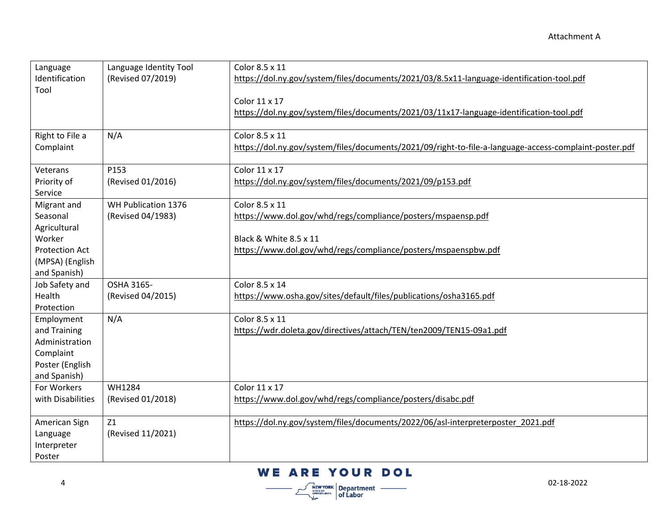| Language<br>Identification<br>Tool                                                            | Language Identity Tool<br>(Revised 07/2019) | Color 8.5 x 11<br>https://dol.ny.gov/system/files/documents/2021/03/8.5x11-language-identification-tool.pdf<br>Color 11 x 17<br>https://dol.ny.gov/system/files/documents/2021/03/11x17-language-identification-tool.pdf |
|-----------------------------------------------------------------------------------------------|---------------------------------------------|--------------------------------------------------------------------------------------------------------------------------------------------------------------------------------------------------------------------------|
| Right to File a<br>Complaint                                                                  | N/A                                         | Color 8.5 x 11<br>https://dol.ny.gov/system/files/documents/2021/09/right-to-file-a-language-access-complaint-poster.pdf                                                                                                 |
| Veterans<br>Priority of<br>Service                                                            | P153<br>(Revised 01/2016)                   | Color 11 x 17<br>https://dol.ny.gov/system/files/documents/2021/09/p153.pdf                                                                                                                                              |
| Migrant and<br>Seasonal<br>Agricultural<br>Worker<br><b>Protection Act</b><br>(MPSA) (English | WH Publication 1376<br>(Revised 04/1983)    | Color 8.5 x 11<br>https://www.dol.gov/whd/regs/compliance/posters/mspaensp.pdf<br>Black & White 8.5 x 11<br>https://www.dol.gov/whd/regs/compliance/posters/mspaenspbw.pdf                                               |
| and Spanish)<br>Job Safety and<br>Health<br>Protection                                        | OSHA 3165-<br>(Revised 04/2015)             | Color 8.5 x 14<br>https://www.osha.gov/sites/default/files/publications/osha3165.pdf                                                                                                                                     |
| Employment<br>and Training<br>Administration<br>Complaint<br>Poster (English<br>and Spanish)  | N/A                                         | Color 8.5 x 11<br>https://wdr.doleta.gov/directives/attach/TEN/ten2009/TEN15-09a1.pdf                                                                                                                                    |
| For Workers<br>with Disabilities                                                              | <b>WH1284</b><br>(Revised 01/2018)          | Color 11 x 17<br>https://www.dol.gov/whd/regs/compliance/posters/disabc.pdf                                                                                                                                              |
| American Sign<br>Language<br>Interpreter<br>Poster                                            | Z1<br>(Revised 11/2021)                     | https://dol.ny.gov/system/files/documents/2022/06/asl-interpreterposter 2021.pdf                                                                                                                                         |

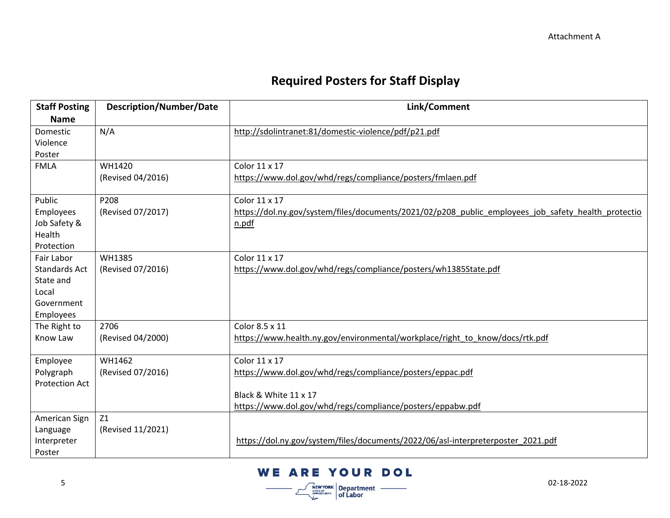# **Required Posters for Staff Display**

| <b>Staff Posting</b>  | <b>Description/Number/Date</b> | Link/Comment                                                                                        |
|-----------------------|--------------------------------|-----------------------------------------------------------------------------------------------------|
| <b>Name</b>           |                                |                                                                                                     |
| Domestic              | N/A                            | http://sdolintranet:81/domestic-violence/pdf/p21.pdf                                                |
| Violence              |                                |                                                                                                     |
| Poster                |                                |                                                                                                     |
| <b>FMLA</b>           | WH1420                         | Color 11 x 17                                                                                       |
|                       | (Revised 04/2016)              | https://www.dol.gov/whd/regs/compliance/posters/fmlaen.pdf                                          |
| Public                | P208                           | Color 11 x 17                                                                                       |
| Employees             | (Revised 07/2017)              | https://dol.ny.gov/system/files/documents/2021/02/p208 public employees job safety health protectio |
| Job Safety &          |                                | n.pdf                                                                                               |
| Health                |                                |                                                                                                     |
| Protection            |                                |                                                                                                     |
| Fair Labor            | WH1385                         | Color 11 x 17                                                                                       |
| <b>Standards Act</b>  | (Revised 07/2016)              | https://www.dol.gov/whd/regs/compliance/posters/wh1385State.pdf                                     |
| State and             |                                |                                                                                                     |
| Local                 |                                |                                                                                                     |
| Government            |                                |                                                                                                     |
| Employees             |                                |                                                                                                     |
| The Right to          | 2706                           | Color 8.5 x 11                                                                                      |
| Know Law              | (Revised 04/2000)              | https://www.health.ny.gov/environmental/workplace/right_to_know/docs/rtk.pdf                        |
| Employee              | WH1462                         | Color 11 x 17                                                                                       |
| Polygraph             | (Revised 07/2016)              | https://www.dol.gov/whd/regs/compliance/posters/eppac.pdf                                           |
| <b>Protection Act</b> |                                |                                                                                                     |
|                       |                                | Black & White 11 x 17                                                                               |
|                       |                                | https://www.dol.gov/whd/regs/compliance/posters/eppabw.pdf                                          |
| American Sign         | Z1                             |                                                                                                     |
| Language              | (Revised 11/2021)              |                                                                                                     |
| Interpreter           |                                | https://dol.ny.gov/system/files/documents/2022/06/asl-interpreterposter 2021.pdf                    |
| Poster                |                                |                                                                                                     |